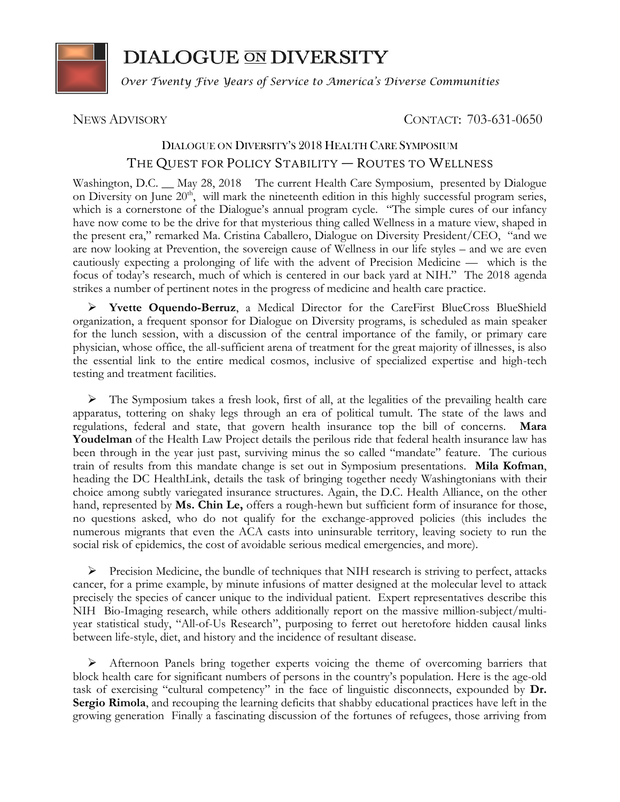

## **DIALOGUE ON DIVERSITY**

*Over Twenty Five Years of Service to America's Diverse Communities*

## NEWS ADVISORY CONTACT: 703-631-0650

## DIALOGUE ON DIVERSITY'S 2018 HEALTH CARE SYMPOSIUM THE QUEST FOR POLICY STABILITY — ROUTES TO WELLNESS

Washington, D.C. \_\_ May 28, 2018 The current Health Care Symposium, presented by Dialogue on Diversity on June  $20<sup>th</sup>$ , will mark the nineteenth edition in this highly successful program series, which is a cornerstone of the Dialogue's annual program cycle. "The simple cures of our infancy have now come to be the drive for that mysterious thing called Wellness in a mature view, shaped in the present era," remarked Ma. Cristina Caballero, Dialogue on Diversity President/CEO, "and we are now looking at Prevention, the sovereign cause of Wellness in our life styles – and we are even cautiously expecting a prolonging of life with the advent of Precision Medicine — which is the focus of today's research, much of which is centered in our back yard at NIH." The 2018 agenda strikes a number of pertinent notes in the progress of medicine and health care practice.

➢ **Yvette Oquendo-Berruz**, a Medical Director for the CareFirst BlueCross BlueShield organization, a frequent sponsor for Dialogue on Diversity programs, is scheduled as main speaker for the lunch session, with a discussion of the central importance of the family, or primary care physician, whose office, the all-sufficient arena of treatment for the great majority of illnesses, is also the essential link to the entire medical cosmos, inclusive of specialized expertise and high-tech testing and treatment facilities.

➢ The Symposium takes a fresh look, first of all, at the legalities of the prevailing health care apparatus, tottering on shaky legs through an era of political tumult. The state of the laws and regulations, federal and state, that govern health insurance top the bill of concerns. **Mara Youdelman** of the Health Law Project details the perilous ride that federal health insurance law has been through in the year just past, surviving minus the so called "mandate" feature. The curious train of results from this mandate change is set out in Symposium presentations. **Mila Kofman**, heading the DC HealthLink, details the task of bringing together needy Washingtonians with their choice among subtly variegated insurance structures. Again, the D.C. Health Alliance, on the other hand, represented by **Ms. Chin Le,** offers a rough-hewn but sufficient form of insurance for those, no questions asked, who do not qualify for the exchange-approved policies (this includes the numerous migrants that even the ACA casts into uninsurable territory, leaving society to run the social risk of epidemics, the cost of avoidable serious medical emergencies, and more).

 $\triangleright$  Precision Medicine, the bundle of techniques that NIH research is striving to perfect, attacks cancer, for a prime example, by minute infusions of matter designed at the molecular level to attack precisely the species of cancer unique to the individual patient. Expert representatives describe this NIH Bio-Imaging research, while others additionally report on the massive million-subject/multiyear statistical study, "All-of-Us Research", purposing to ferret out heretofore hidden causal links between life-style, diet, and history and the incidence of resultant disease.

➢ Afternoon Panels bring together experts voicing the theme of overcoming barriers that block health care for significant numbers of persons in the country's population. Here is the age-old task of exercising "cultural competency" in the face of linguistic disconnects, expounded by **Dr. Sergio Rimola**, and recouping the learning deficits that shabby educational practices have left in the growing generation Finally a fascinating discussion of the fortunes of refugees, those arriving from